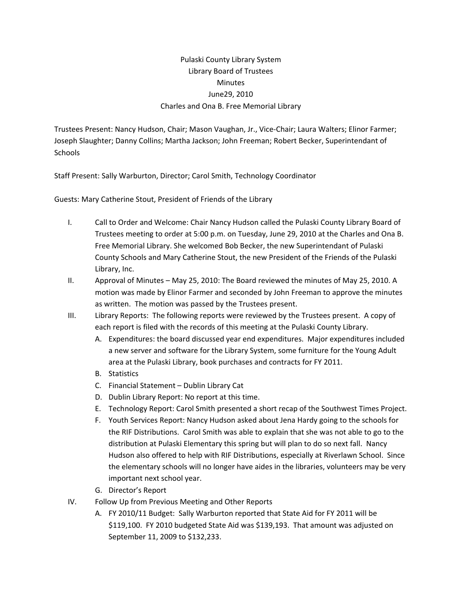## Pulaski County Library System Library Board of Trustees **Minutes** June29, 2010 Charles and Ona B. Free Memorial Library

Trustees Present: Nancy Hudson, Chair; Mason Vaughan, Jr., Vice‐Chair; Laura Walters; Elinor Farmer; Joseph Slaughter; Danny Collins; Martha Jackson; John Freeman; Robert Becker, Superintendant of **Schools** 

Staff Present: Sally Warburton, Director; Carol Smith, Technology Coordinator

Guests: Mary Catherine Stout, President of Friends of the Library

- I. Call to Order and Welcome: Chair Nancy Hudson called the Pulaski County Library Board of Trustees meeting to order at 5:00 p.m. on Tuesday, June 29, 2010 at the Charles and Ona B. Free Memorial Library. She welcomed Bob Becker, the new Superintendant of Pulaski County Schools and Mary Catherine Stout, the new President of the Friends of the Pulaski Library, Inc.
- II. Approval of Minutes May 25, 2010: The Board reviewed the minutes of May 25, 2010. A motion was made by Elinor Farmer and seconded by John Freeman to approve the minutes as written. The motion was passed by the Trustees present.
- III. Library Reports: The following reports were reviewed by the Trustees present. A copy of each report is filed with the records of this meeting at the Pulaski County Library.
	- A. Expenditures: the board discussed year end expenditures. Major expenditures included a new server and software for the Library System, some furniture for the Young Adult area at the Pulaski Library, book purchases and contracts for FY 2011.
	- B. Statistics
	- C. Financial Statement Dublin Library Cat
	- D. Dublin Library Report: No report at this time.
	- E. Technology Report: Carol Smith presented a short recap of the Southwest Times Project.
	- F. Youth Services Report: Nancy Hudson asked about Jena Hardy going to the schools for the RIF Distributions. Carol Smith was able to explain that she was not able to go to the distribution at Pulaski Elementary this spring but will plan to do so next fall. Nancy Hudson also offered to help with RIF Distributions, especially at Riverlawn School. Since the elementary schools will no longer have aides in the libraries, volunteers may be very important next school year.
	- G. Director's Report
- IV. Follow Up from Previous Meeting and Other Reports
	- A. FY 2010/11 Budget: Sally Warburton reported that State Aid for FY 2011 will be \$119,100. FY 2010 budgeted State Aid was \$139,193. That amount was adjusted on September 11, 2009 to \$132,233.